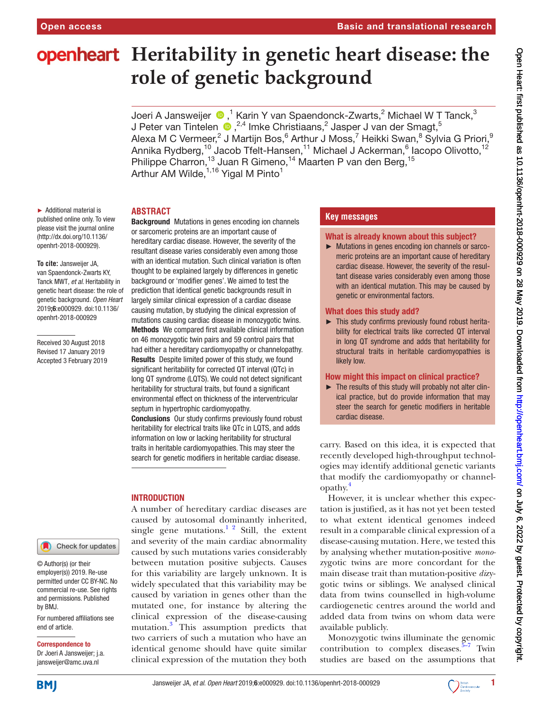# **openheart** Heritability in genetic heart disease: the **role of genetic background**

JoeriA Jansweijer  $\bigcirc$  ,<sup>1</sup> Karin Y van Spaendonck-Zwarts,<sup>2</sup> Michael W T Tanck,<sup>3</sup> JPeter van Tintelen  $\bullet$  ,  $^{2,4}$  Imke Christiaans,  $^2$  Jasper J van der Smagt,  $^5$ Alexa M C Vermeer,<sup>2</sup> J Martijn Bos,<sup>6</sup> Arthur J Moss,<sup>7</sup> Heikki Swan,<sup>8</sup> Sylvia G Priori,<sup>9</sup> Annika Rydberg,<sup>10</sup> Jacob Tfelt-Hansen,<sup>11</sup> Michael J Ackerman,<sup>6</sup> Iacopo Olivotto,<sup>12</sup> Philippe Charron,<sup>13</sup> Juan R Gimeno,<sup>14</sup> Maarten P van den Berg,<sup>15</sup> Arthur AM Wilde,<sup>1,16</sup> Yigal M Pinto<sup>1</sup>

► Additional material is published online only. To view please visit the journal online (http://dx.doi.org/10.1136/ openhrt-2018-000929).

#### **To cite:** Jansweijer JA, van Spaendonck-Zwarts KY, Tanck MWT*, et al*. Heritability in genetic heart disease: the role of genetic background*. Open Heart* 2019;6:e000929. doi:10.1136/ openhrt-2018-000929

Received 30 August 2018 Revised 17 January 2019 Accepted 3 February 2019



© Author(s) (or their employer(s)) 2019. Re-use permitted under CC BY-NC. No commercial re-use. See rights and permissions. Published by BMJ.

For numbered affiliations see end of article.

#### Correspondence to

Dr Joeri A Jansweijer; j.a. jansweijer@amc.uva.nl

**Abstract**

Background Mutations in genes encoding ion channels or sarcomeric proteins are an important cause of hereditary cardiac disease. However, the severity of the resultant disease varies considerably even among those with an identical mutation. Such clinical variation is often thought to be explained largely by differences in genetic background or 'modifier genes'. We aimed to test the prediction that identical genetic backgrounds result in largely similar clinical expression of a cardiac disease causing mutation, by studying the clinical expression of mutations causing cardiac disease in monozygotic twins. Methods We compared first available clinical information on 46 monozygotic twin pairs and 59 control pairs that had either a hereditary cardiomyopathy or channelopathy. Results Despite limited power of this study, we found significant heritability for corrected QT interval (QTc) in long QT syndrome (LQTS). We could not detect significant heritability for structural traits, but found a significant environmental effect on thickness of the interventricular septum in hypertrophic cardiomyopathy.

Conclusions Our study confirms previously found robust heritability for electrical traits like QTc in LQTS, and adds information on low or lacking heritability for structural traits in heritable cardiomyopathies. This may steer the search for genetic modifiers in heritable cardiac disease.

# **INTRODUCTION**

A number of hereditary cardiac diseases are caused by autosomal dominantly inherited, single gene mutations. $1^2$  Still, the extent and severity of the main cardiac abnormality caused by such mutations varies considerably between mutation positive subjects. Causes for this variability are largely unknown. It is widely speculated that this variability may be caused by variation in genes other than the mutated one, for instance by altering the clinical expression of the disease-causing mutation[.3](#page-4-1) This assumption predicts that two carriers of such a mutation who have an identical genome should have quite similar clinical expression of the mutation they both

# **Key messages**

#### What is already known about this subject?

► Mutations in genes encoding ion channels or sarcomeric proteins are an important cause of hereditary cardiac disease. However, the severity of the resultant disease varies considerably even among those with an identical mutation. This may be caused by genetic or environmental factors.

#### What does this study add?

► This study confirms previously found robust heritability for electrical traits like corrected QT interval in long QT syndrome and adds that heritability for structural traits in heritable cardiomyopathies is likely low.

### How might this impact on clinical practice?

► The results of this study will probably not alter clinical practice, but do provide information that may steer the search for genetic modifiers in heritable cardiac disease.

carry. Based on this idea, it is expected that recently developed high-throughput technologies may identify additional genetic variants that modify the cardiomyopathy or channelopathy.[4](#page-4-2)

However, it is unclear whether this expectation is justified, as it has not yet been tested to what extent identical genomes indeed result in a comparable clinical expression of a disease-causing mutation. Here, we tested this by analysing whether mutation-positive *mono*zygotic twins are more concordant for the main disease trait than mutation-positive *di*zygotic twins or siblings. We analysed clinical data from twins counselled in high-volume cardiogenetic centres around the world and added data from twins on whom data were available publicly.

Monozygotic twins illuminate the genomic contribution to complex diseases. $5-7$  Twin studies are based on the assumptions that

**BMJ** 

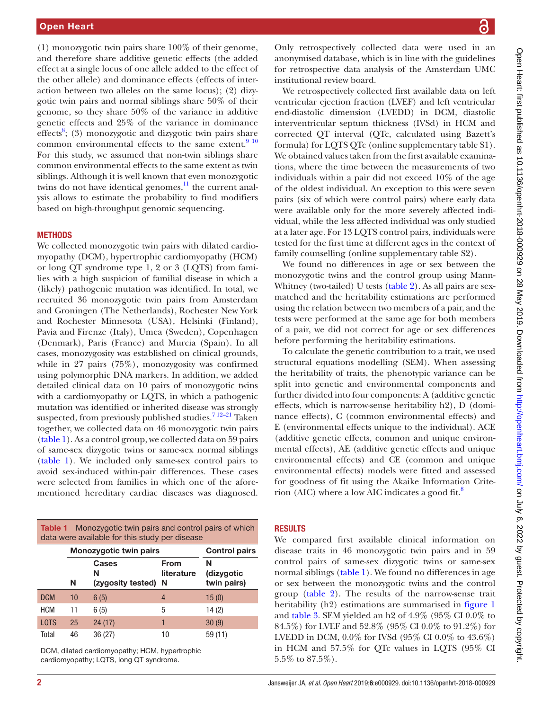(1) monozygotic twin pairs share 100% of their genome, and therefore share additive genetic effects (the added effect at a single locus of one allele added to the effect of the other allele) and dominance effects (effects of interaction between two alleles on the same locus); (2) dizygotic twin pairs and normal siblings share 50% of their genome, so they share 50% of the variance in additive genetic effects and 25% of the variance in dominance effects<sup>8</sup>; (3) monozygotic and dizygotic twin pairs share common environmental effects to the same extent. $9^{10}$ For this study, we assumed that non-twin siblings share common environmental effects to the same extent as twin siblings. Although it is well known that even monozygotic twins do not have identical genomes, $\frac{11}{11}$  $\frac{11}{11}$  $\frac{11}{11}$  the current analysis allows to estimate the probability to find modifiers based on high-throughput genomic sequencing.

#### **METHODS**

We collected monozygotic twin pairs with dilated cardiomyopathy (DCM), hypertrophic cardiomyopathy (HCM) or long QT syndrome type 1, 2 or 3 (LQTS) from families with a high suspicion of familial disease in which a (likely) pathogenic mutation was identified. In total, we recruited 36 monozygotic twin pairs from Amsterdam and Groningen (The Netherlands), Rochester New York and Rochester Minnesota (USA), Helsinki (Finland), Pavia and Firenze (Italy), Umea (Sweden), Copenhagen (Denmark), Paris (France) and Murcia (Spain). In all cases, monozygosity was established on clinical grounds, while in 27 pairs (75%), monozygosity was confirmed using polymorphic DNA markers. In addition, we added detailed clinical data on 10 pairs of monozygotic twins with a cardiomyopathy or LQTS, in which a pathogenic mutation was identified or inherited disease was strongly suspected, from previously published studies.<sup>712-21</sup> Taken together, we collected data on 46 monozygotic twin pairs ([table](#page-1-0) 1). As a control group, we collected data on 59 pairs of same-sex dizygotic twins or same-sex normal siblings ([table](#page-1-0) 1). We included only same-sex control pairs to avoid sex-induced within-pair differences. These cases were selected from families in which one of the aforementioned hereditary cardiac diseases was diagnosed.

<span id="page-1-0"></span>

| Monozygotic twin pairs and control pairs of which<br>Table 1<br>data were available for this study per disease |                        |                                   |                           |                                |  |  |  |
|----------------------------------------------------------------------------------------------------------------|------------------------|-----------------------------------|---------------------------|--------------------------------|--|--|--|
|                                                                                                                | Monozygotic twin pairs | <b>Control pairs</b>              |                           |                                |  |  |  |
|                                                                                                                | N                      | Cases<br>N<br>(zygosity tested) N | <b>From</b><br>literature | N<br>(dizygotic<br>twin pairs) |  |  |  |
| <b>DCM</b>                                                                                                     | 10                     | 6(5)                              | 4                         | 15(0)                          |  |  |  |
| <b>HCM</b>                                                                                                     | 11                     | 6(5)                              | 5                         | 14 (2)                         |  |  |  |
| <b>LOTS</b>                                                                                                    | 25                     | 24(17)                            | 1                         | 30(9)                          |  |  |  |
| Total                                                                                                          | 46                     | 36(27)                            | 10                        | 59 (11)                        |  |  |  |

DCM, dilated cardiomyopathy; HCM, hypertrophic cardiomyopathy; LQTS, long QT syndrome.

Only retrospectively collected data were used in an anonymised database, which is in line with the guidelines for retrospective data analysis of the Amsterdam UMC institutional review board.

We retrospectively collected first available data on left ventricular ejection fraction (LVEF) and left ventricular end-diastolic dimension (LVEDD) in DCM, diastolic interventricular septum thickness (IVSd) in HCM and corrected QT interval (QTc, calculated using Bazett's formula) for LQTS QTc ([online supplementary table S1\)](https://dx.doi.org/10.1136/openhrt-2018-000929). We obtained values taken from the first available examinations, where the time between the measurements of two individuals within a pair did not exceed 10% of the age of the oldest individual. An exception to this were seven pairs (six of which were control pairs) where early data were available only for the more severely affected individual, while the less affected individual was only studied at a later age. For 13 LQTS control pairs, individuals were tested for the first time at different ages in the context of family counselling [\(online supplementary table S2\)](https://dx.doi.org/10.1136/openhrt-2018-000929).

We found no differences in age or sex between the monozygotic twins and the control group using Mann-Whitney (two-tailed) U tests [\(table](#page-2-0) 2). As all pairs are sexmatched and the heritability estimations are performed using the relation between two members of a pair, and the tests were performed at the same age for both members of a pair, we did not correct for age or sex differences before performing the heritability estimations.

To calculate the genetic contribution to a trait, we used structural equations modelling (SEM). When assessing the heritability of traits, the phenotypic variance can be split into genetic and environmental components and further divided into four components: A (additive genetic effects, which is narrow-sense heritability h2), D (dominance effects), C (common environmental effects) and E (environmental effects unique to the individual). ACE (additive genetic effects, common and unique environmental effects), AE (additive genetic effects and unique environmental effects) and CE (common and unique environmental effects) models were fitted and assessed for goodness of fit using the Akaike Information Criterion (AIC) where a low AIC indicates a good fit. $8$ 

# **RESULTS**

We compared first available clinical information on disease traits in 46 monozygotic twin pairs and in 59 control pairs of same-sex dizygotic twins or same-sex normal siblings [\(table](#page-1-0) 1). We found no differences in age or sex between the monozygotic twins and the control group ([table](#page-2-0) 2). The results of the narrow-sense trait heritability (h2) estimations are summarised in [figure](#page-3-0) 1 and [table](#page-3-1) 3. SEM yielded an h2 of 4.9% (95% CI 0.0% to 84.5%) for LVEF and 52.8% (95% CI 0.0% to 91.2%) for LVEDD in DCM, 0.0% for IVSd (95% CI 0.0% to 43.6%) in HCM and 57.5% for QTc values in LQTS (95% CI 5.5% to 87.5%).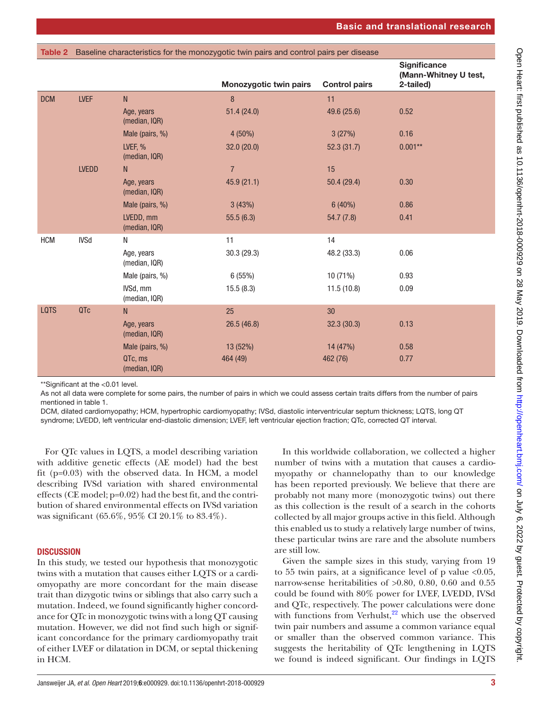<span id="page-2-0"></span>

|             | Table 2 Baseline characteristics for the monozygotic twin pairs and control pairs per disease |                             |                               |                      |                                                           |  |  |
|-------------|-----------------------------------------------------------------------------------------------|-----------------------------|-------------------------------|----------------------|-----------------------------------------------------------|--|--|
|             |                                                                                               |                             | <b>Monozygotic twin pairs</b> | <b>Control pairs</b> | <b>Significance</b><br>(Mann-Whitney U test,<br>2-tailed) |  |  |
| <b>DCM</b>  | <b>LVEF</b>                                                                                   | $\mathsf{N}$                | 8                             | 11                   |                                                           |  |  |
|             |                                                                                               | Age, years<br>(median, IQR) | 51.4(24.0)                    | 49.6 (25.6)          | 0.52                                                      |  |  |
|             |                                                                                               | Male (pairs, %)             | 4 (50%)                       | 3(27%)               | 0.16                                                      |  |  |
|             |                                                                                               | LVEF, %<br>(median, IQR)    | 32.0(20.0)                    | 52.3(31.7)           | $0.001***$                                                |  |  |
|             | <b>LVEDD</b>                                                                                  | N.                          | $\overline{7}$                | 15                   |                                                           |  |  |
|             |                                                                                               | Age, years<br>(median, IQR) | 45.9(21.1)                    | 50.4(29.4)           | 0.30                                                      |  |  |
|             |                                                                                               | Male (pairs, %)             | 3(43%)                        | $6(40\%)$            | 0.86                                                      |  |  |
|             |                                                                                               | LVEDD, mm<br>(median, IQR)  | 55.5(6.3)                     | 54.7(7.8)            | 0.41                                                      |  |  |
| <b>HCM</b>  | <b>IVSd</b>                                                                                   | N                           | 11                            | 14                   |                                                           |  |  |
|             |                                                                                               | Age, years<br>(median, IQR) | 30.3(29.3)                    | 48.2 (33.3)          | 0.06                                                      |  |  |
|             |                                                                                               | Male (pairs, %)             | 6(55%)                        | 10 (71%)             | 0.93                                                      |  |  |
|             |                                                                                               | IVSd, mm<br>(median, IQR)   | 15.5(8.3)                     | 11.5(10.8)           | 0.09                                                      |  |  |
| <b>LQTS</b> | QTc                                                                                           | N                           | 25                            | 30                   |                                                           |  |  |
|             |                                                                                               | Age, years<br>(median, IQR) | 26.5(46.8)                    | 32.3(30.3)           | 0.13                                                      |  |  |
|             |                                                                                               | Male (pairs, %)             | 13 (52%)                      | 14 (47%)             | 0.58                                                      |  |  |
|             |                                                                                               | QTc, ms<br>(median, IQR)    | 464 (49)                      | 462 (76)             | 0.77                                                      |  |  |

\*\*Significant at the <0.01 level.

As not all data were complete for some pairs, the number of pairs in which we could assess certain traits differs from the number of pairs mentioned in [table 1](#page-1-0).

DCM, dilated cardiomyopathy; HCM, hypertrophic cardiomyopathy; IVSd, diastolic interventricular septum thickness; LQTS, long QT syndrome; LVEDD, left ventricular end-diastolic dimension; LVEF, left ventricular ejection fraction; QTc, corrected QT interval.

For QTc values in LQTS, a model describing variation with additive genetic effects (AE model) had the best fit (p=0.03) with the observed data. In HCM, a model describing IVSd variation with shared environmental effects (CE model; p=0.02) had the best fit, and the contribution of shared environmental effects on IVSd variation was significant (65.6%, 95% CI 20.1% to 83.4%).

# **DISCUSSION**

In this study, we tested our hypothesis that monozygotic twins with a mutation that causes either LQTS or a cardiomyopathy are more concordant for the main disease trait than dizygotic twins or siblings that also carry such a mutation. Indeed, we found significantly higher concordance for QTc in monozygotic twins with a long QT causing mutation. However, we did not find such high or significant concordance for the primary cardiomyopathy trait of either LVEF or dilatation in DCM, or septal thickening in HCM.

In this worldwide collaboration, we collected a higher number of twins with a mutation that causes a cardiomyopathy or channelopathy than to our knowledge has been reported previously. We believe that there are probably not many more (monozygotic twins) out there as this collection is the result of a search in the cohorts collected by all major groups active in this field. Although this enabled us to study a relatively large number of twins, these particular twins are rare and the absolute numbers are still low.

Given the sample sizes in this study, varying from 19 to 55 twin pairs, at a significance level of p value  $<0.05$ , narrow-sense heritabilities of >0.80, 0.80, 0.60 and 0.55 could be found with 80% power for LVEF, LVEDD, IVSd and QTc, respectively. The power calculations were done with functions from Verhulst, $22$  which use the observed twin pair numbers and assume a common variance equal or smaller than the observed common variance. This suggests the heritability of QTc lengthening in LQTS we found is indeed significant. Our findings in LQTS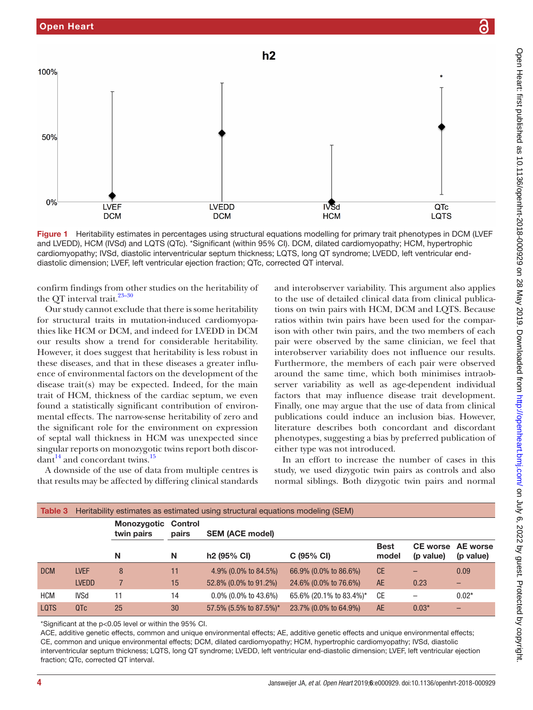

<span id="page-3-0"></span>Figure 1 Heritability estimates in percentages using structural equations modelling for primary trait phenotypes in DCM (LVEF) and LVEDD), HCM (IVSd) and LQTS (QTc). \*Significant (within 95% CI). DCM, dilated cardiomyopathy; HCM, hypertrophic cardiomyopathy; IVSd, diastolic interventricular septum thickness; LQTS, long QT syndrome; LVEDD, left ventricular enddiastolic dimension; LVEF, left ventricular ejection fraction; QTc, corrected QT interval.

confirm findings from other studies on the heritability of the QT interval trait.  $^{23-30}$ 

Our study cannot exclude that there is some heritability for structural traits in mutation-induced cardiomyopathies like HCM or DCM, and indeed for LVEDD in DCM our results show a trend for considerable heritability. However, it does suggest that heritability is less robust in these diseases, and that in these diseases a greater influence of environmental factors on the development of the disease trait(s) may be expected. Indeed, for the main trait of HCM, thickness of the cardiac septum, we even found a statistically significant contribution of environmental effects. The narrow-sense heritability of zero and the significant role for the environment on expression of septal wall thickness in HCM was unexpected since singular reports on monozygotic twins report both discor $d$ ant<sup>14</sup> and concordant twins.<sup>15</sup>

A downside of the use of data from multiple centres is that results may be affected by differing clinical standards and interobserver variability. This argument also applies to the use of detailed clinical data from clinical publications on twin pairs with HCM, DCM and LQTS. Because ratios within twin pairs have been used for the comparison with other twin pairs, and the two members of each pair were observed by the same clinician, we feel that interobserver variability does not influence our results. Furthermore, the members of each pair were observed around the same time, which both minimises intraobserver variability as well as age-dependent individual factors that may influence disease trait development. Finally, one may argue that the use of data from clinical publications could induce an inclusion bias. However, literature describes both concordant and discordant phenotypes, suggesting a bias by preferred publication of either type was not introduced.

In an effort to increase the number of cases in this study, we used dizygotic twin pairs as controls and also normal siblings. Both dizygotic twin pairs and normal

<span id="page-3-1"></span>

| Table 3     | Heritability estimates as estimated using structural equations modeling (SEM) |                           |                  |                         |                         |                      |           |                                       |  |
|-------------|-------------------------------------------------------------------------------|---------------------------|------------------|-------------------------|-------------------------|----------------------|-----------|---------------------------------------|--|
|             |                                                                               | Monozygotic<br>twin pairs | Control<br>pairs | <b>SEM (ACE model)</b>  |                         |                      |           |                                       |  |
|             |                                                                               | N                         | N                | h <sub>2</sub> (95% CI) | C(95% CI)               | <b>Best</b><br>model | (p value) | <b>CE worse</b> AE worse<br>(p value) |  |
| <b>DCM</b>  | <b>LVEF</b>                                                                   | 8                         | 11               | 4.9% (0.0% to 84.5%)    | 66.9% (0.0% to 86.6%)   | <b>CE</b>            |           | 0.09                                  |  |
|             | <b>LVEDD</b>                                                                  |                           | 15               | 52.8% (0.0% to 91.2%)   | 24.6% (0.0% to 76.6%)   | <b>AE</b>            | 0.23      | $\overline{\phantom{0}}$              |  |
| <b>HCM</b>  | IVSd                                                                          | 11                        | 14               | $0.0\%$ (0.0% to 43.6%) | 65.6% (20.1% to 83.4%)* | <b>CE</b>            |           | $0.02*$                               |  |
| <b>LQTS</b> | QT <sub>C</sub>                                                               | 25                        | 30               | 57.5% (5.5% to 87.5%)*  | 23.7% (0.0% to 64.9%)   | <b>AE</b>            | $0.03*$   | _                                     |  |

\*Significant at the p<0.05 level or within the 95% CI.

ACE, additive genetic effects, common and unique environmental effects; AE, additive genetic effects and unique environmental effects; CE, common and unique environmental effects; DCM, dilated cardiomyopathy; HCM, hypertrophic cardiomyopathy; IVSd, diastolic interventricular septum thickness; LQTS, long QT syndrome; LVEDD, left ventricular end-diastolic dimension; LVEF, left ventricular ejection fraction; QTc, corrected QT interval.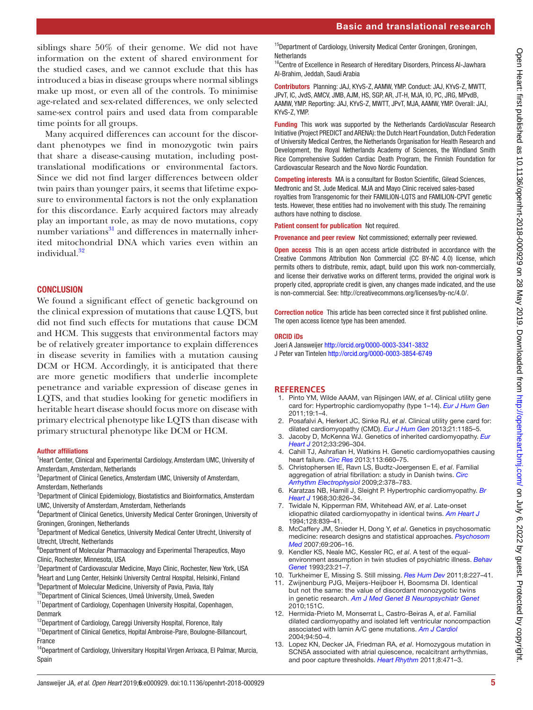# Basic and translational research

siblings share 50% of their genome. We did not have information on the extent of shared environment for the studied cases, and we cannot exclude that this has introduced a bias in disease groups where normal siblings make up most, or even all of the controls. To minimise age-related and sex-related differences, we only selected same-sex control pairs and used data from comparable time points for all groups.

Many acquired differences can account for the discordant phenotypes we find in monozygotic twin pairs that share a disease-causing mutation, including posttranslational modifications or environmental factors. Since we did not find larger differences between older twin pairs than younger pairs, it seems that lifetime exposure to environmental factors is not the only explanation for this discordance. Early acquired factors may already play an important role, as may de novo mutations, copy number variations $31$  and differences in maternally inherited mitochondrial DNA which varies even within an individual.<sup>[32](#page-5-5)</sup>

# **CONCLUSION**

We found a significant effect of genetic background on the clinical expression of mutations that cause LQTS, but did not find such effects for mutations that cause DCM and HCM. This suggests that environmental factors may be of relatively greater importance to explain differences in disease severity in families with a mutation causing DCM or HCM. Accordingly, it is anticipated that there are more genetic modifiers that underlie incomplete penetrance and variable expression of disease genes in LQTS, and that studies looking for genetic modifiers in heritable heart disease should focus more on disease with primary electrical phenotype like LQTS than disease with primary structural phenotype like DCM or HCM.

#### Author affiliations

<sup>1</sup> Heart Center, Clinical and Experimental Cardiology, Amsterdam UMC, University of Amsterdam, Amsterdam, Netherlands

<sup>2</sup>Department of Clinical Genetics, Amsterdam UMC, University of Amsterdam, Amsterdam, Netherlands

<sup>3</sup>Department of Clinical Epidemiology, Biostatistics and Bioinformatics, Amsterdam UMC, University of Amsterdam, Amsterdam, Netherlands

4 Department of Clinical Genetics, University Medical Center Groningen, University of Groningen, Groningen, Netherlands

5 Department of Medical Genetics, University Medical Center Utrecht, University of Utrecht, Utrecht, Netherlands

<sup>6</sup>Department of Molecular Pharmacology and Experimental Therapeutics, Mayo Clinic, Rochester, Minnesota, USA

<sup>7</sup>Department of Cardiovascular Medicine, Mayo Clinic, Rochester, New York, USA

<sup>8</sup>Heart and Lung Center, Helsinki University Central Hospital, Helsinki, Finland 9 Department of Molecular Medicine, University of Pavia, Pavia, Italy

10Department of Clinical Sciences, Umeå University, Umeå, Sweden

<sup>11</sup>Department of Cardiology, Copenhagen University Hospital, Copenhagen, Denmark

<sup>12</sup>Department of Cardiology, Careggi University Hospital, Florence, Italy

<sup>13</sup>Department of Clinical Genetics, Hopital Ambroise-Pare, Boulogne-Billancourt, France

<sup>14</sup>Department of Cardiology, Universitary Hospital Virgen Arrixaca, El Palmar, Murcia, Spain

<sup>15</sup>Department of Cardiology, University Medical Center Groningen, Groningen, **Netherlands** 

<sup>16</sup>Centre of Excellence in Research of Hereditary Disorders, Princess Al-Jawhara Al-Brahim, Jeddah, Saudi Arabia

Contributors Planning: JAJ, KYvS-Z, AAMW, YMP. Conduct: JAJ, KYvS-Z, MWTT, JPvT, IC, JvdS, AMCV, JMB, AJM, HS, SGP, AR, JT-H, MJA, IO, PC, JRG, MPvdB, AAMW, YMP. Reporting: JAJ, KYvS-Z, MWTT, JPvT, MJA, AAMW, YMP. Overall: JAJ, KYvS-Z, YMP.

Funding This work was supported by the Netherlands CardioVascular Research Initiative (Project PREDICT and ARENA): the Dutch Heart Foundation, Dutch Federation of University Medical Centres, the Netherlands Organisation for Health Research and Development, the Royal Netherlands Academy of Sciences, the Windland Smith Rice Comprehensive Sudden Cardiac Death Program, the Finnish Foundation for Cardiovascular Research and the Novo Nordic Foundation.

Competing interests MA is a consultant for Boston Scientific, Gilead Sciences, Medtronic and St. Jude Medical. MJA and Mayo Clinic received sales-based royalties from Transgenomic for their FAMILION-LQTS and FAMILION-CPVT genetic tests. However, these entities had no involvement with this study. The remaining authors have nothing to disclose.

Patient consent for publication Not required.

Provenance and peer review Not commissioned; externally peer reviewed.

Open access This is an open access article distributed in accordance with the Creative Commons Attribution Non Commercial (CC BY-NC 4.0) license, which permits others to distribute, remix, adapt, build upon this work non-commercially, and license their derivative works on different terms, provided the original work is properly cited, appropriate credit is given, any changes made indicated, and the use is non-commercial. See: [http://creativecommons.org/licenses/by-nc/4.0/.](http://creativecommons.org/licenses/by-nc/4.0/)

Correction notice This article has been corrected since it first published online. The open access licence type has been amended.

#### ORCID iDs

Joeri A Jansweijer <http://orcid.org/0000-0003-3341-3832> J Peter van Tintelen <http://orcid.org/0000-0003-3854-6749>

#### **References**

- <span id="page-4-0"></span>1. Pinto YM, Wilde AAAM, van Rijsingen IAW, *et al*. Clinical utility gene card for: Hypertrophic cardiomyopathy (type 1–14). *[Eur J Hum Gen](http://dx.doi.org/10.1038/ejhg.2010.243)* 2011;19:1–4.
- 2. Posafalvi A, Herkert JC, Sinke RJ, *et al*. Clinical utility gene card for: dilated cardiomyopathy (CMD). *[Eur J Hum Gen](http://dx.doi.org/10.1038/ejhg.2012.276)* 2013;21:1185–5.
- <span id="page-4-1"></span>3. Jacoby D, McKenna WJ. Genetics of inherited cardiomyopathy. *[Eur](http://dx.doi.org/10.1093/eurheartj/ehr260)  [Heart J](http://dx.doi.org/10.1093/eurheartj/ehr260)* 2012;33:296–304.
- <span id="page-4-2"></span>4. Cahill TJ, Ashrafian H, Watkins H. Genetic cardiomyopathies causing heart failure. *[Circ Res](http://dx.doi.org/10.1161/CIRCRESAHA.113.300282)* 2013;113:660–75.
- <span id="page-4-3"></span>5. Christophersen IE, Ravn LS, Budtz-Joergensen E, *et al*. Familial aggregation of atrial fibrillation: a study in Danish twins. *[Circ](http://dx.doi.org/10.1161/CIRCEP.108.786665)  [Arrhythm Electrophysiol](http://dx.doi.org/10.1161/CIRCEP.108.786665)* 2009;2:378–783.
- 6. Karatzas NB, Hamill J, Sleight P. Hypertrophic cardiomyopathy. *[Br](http://dx.doi.org/10.1136/hrt.30.6.826)  [Heart J](http://dx.doi.org/10.1136/hrt.30.6.826)* 1968;30:826–34.
- <span id="page-4-7"></span>7. Twidale N, Kipperman RM, Whitehead AW, *et al*. Late-onset idiopathic dilated cardiomyopathy in identical twins. *[Am Heart J](http://dx.doi.org/10.1016/0002-8703(94)90288-7)* 1994;128:839–41.
- <span id="page-4-4"></span>8. McCaffery JM, Snieder H, Dong Y, *et al*. Genetics in psychosomatic medicine: research designs and statistical approaches. *[Psychosom](http://dx.doi.org/10.1097/PSY.0b013e31802f5dd4)  [Med](http://dx.doi.org/10.1097/PSY.0b013e31802f5dd4)* 2007;69:206–16.
- <span id="page-4-5"></span>9. Kendler KS, Neale MC, Kessler RC, *et al*. A test of the equalenvironment assumption in twin studies of psychiatric illness. *[Behav](http://dx.doi.org/10.1007/BF01067551)  [Genet](http://dx.doi.org/10.1007/BF01067551)* 1993;23:21–7.
- 10. Turkheimer E, Missing S. Still missing. *[Res Hum Dev](http://dx.doi.org/10.1080/15427609.2011.625321)* 2011;8:227–41.
- <span id="page-4-6"></span>11. Zwijnenburg PJG, Meijers-Heijboer H, Boomsma DI. Identical but not the same: the value of discordant monozygotic twins in genetic research. *[Am J Med Genet B Neuropsychiatr Genet](http://dx.doi.org/10.1002/ajmg.b.31091)* 2010;151C.
- 12. Hermida-Prieto M, Monserrat L, Castro-Beiras A, *et al*. Familial dilated cardiomyopathy and isolated left ventricular noncompaction associated with lamin A/C gene mutations. *[Am J Cardiol](http://dx.doi.org/10.1016/j.amjcard.2004.03.029)* 2004;94:50–4.
- 13. Lopez KN, Decker JA, Friedman RA, *et al*. Homozygous mutation in SCN5A associated with atrial quiescence, recalcitrant arrhythmias, and poor capture thresholds. *[Heart Rhythm](http://dx.doi.org/10.1016/j.hrthm.2010.10.014)* 2011;8:471–3.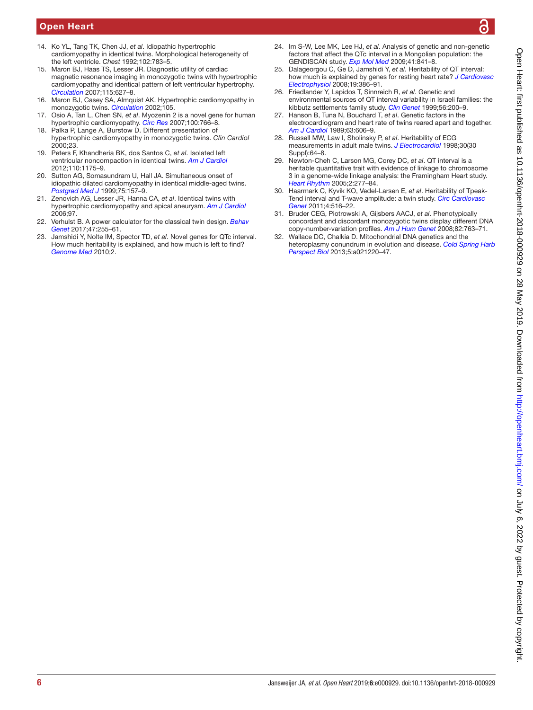# Open Heart

- <span id="page-5-2"></span>14. Ko YL, Tang TK, Chen JJ, *et al*. Idiopathic hypertrophic cardiomyopathy in identical twins. Morphological heterogeneity of the left ventricle. *Chest* 1992;102:783–5.
- <span id="page-5-3"></span>15. Maron BJ, Haas TS, Lesser JR. Diagnostic utility of cardiac magnetic resonance imaging in monozygotic twins with hypertrophic cardiomyopathy and identical pattern of left ventricular hypertrophy. *[Circulation](http://dx.doi.org/10.1161/CIRCULATIONAHA.106.680512)* 2007;115:627–8.
- 16. Maron BJ, Casey SA, Almquist AK. Hypertrophic cardiomyopathy in monozygotic twins. *[Circulation](http://dx.doi.org/10.1161/01.CIR.0000013097.84796.2A)* 2002;105.
- 17. Osio A, Tan L, Chen SN, *et al*. Myozenin 2 is a novel gene for human hypertrophic cardiomyopathy. *[Circ Res](http://dx.doi.org/10.1161/01.RES.0000263008.66799.aa)* 2007;100:766–8.
- 18. Palka P, Lange A, Burstow D. Different presentation of hypertrophic cardiomyopathy in monozygotic twins. *Clin Cardiol* 2000;23.
- 19. Peters F, Khandheria BK, dos Santos C, *et al*. Isolated left ventricular noncompaction in identical twins. *[Am J Cardiol](http://dx.doi.org/10.1016/j.amjcard.2012.05.060)* 2012;110:1175–9.
- 20. Sutton AG, Somasundram U, Hall JA. Simultaneous onset of idiopathic dilated cardiomyopathy in identical middle-aged twins. *[Postgrad Med J](http://dx.doi.org/10.1136/pgmj.75.881.157)* 1999;75:157–9.
- 21. Zenovich AG, Lesser JR, Hanna CA, *et al*. Identical twins with hypertrophic cardiomyopathy and apical aneurysm. *[Am J Cardiol](http://dx.doi.org/10.1016/j.amjcard.2005.10.059)* 2006;97.
- <span id="page-5-0"></span>22. Verhulst B. A power calculator for the classical twin design. *[Behav](http://dx.doi.org/10.1007/s10519-016-9828-9)  [Genet](http://dx.doi.org/10.1007/s10519-016-9828-9)* 2017;47:255–61.
- <span id="page-5-1"></span>23. Jamshidi Y, Nolte IM, Spector TD, *et al*. Novel genes for QTc interval. How much heritability is explained, and how much is left to find? *[Genome Med](http://dx.doi.org/10.1186/gm156)* 2010;2.
- 24. Im S-W, Lee MK, Lee HJ, *et al*. Analysis of genetic and non-genetic factors that affect the QTc interval in a Mongolian population: the GENDISCAN study. *[Exp Mol Med](http://dx.doi.org/10.3858/emm.2009.41.11.090)* 2009;41:841–8.
- 25. Dalageorgou C, Ge D, Jamshidi Y, *et al*. Heritability of QT interval: how much is explained by genes for resting heart rate? *[J Cardiovasc](http://dx.doi.org/10.1111/j.1540-8167.2007.01030.x)  [Electrophysiol](http://dx.doi.org/10.1111/j.1540-8167.2007.01030.x)* 2008;19:386–91.
- 26. Friedlander Y, Lapidos T, Sinnreich R, *et al*. Genetic and environmental sources of QT interval variability in Israeli families: the kibbutz settlements family study. *[Clin Genet](http://dx.doi.org/10.1034/j.1399-0004.1999.560304.x)* 1999;56:200–9.
- 27. Hanson B, Tuna N, Bouchard T, *et al*. Genetic factors in the electrocardiogram and heart rate of twins reared apart and together. *[Am J Cardiol](http://dx.doi.org/10.1016/0002-9149(89)90907-7)* 1989;63:606–9.
- 28. Russell MW, Law I, Sholinsky P, *et al*. Heritability of ECG measurements in adult male twins. *[J Electrocardiol](http://dx.doi.org/10.1016/S0022-0736(98)80034-4)* 1998;30(30 Suppl):64–8.
- 29. Newton-Cheh C, Larson MG, Corey DC, *et al*. QT interval is a heritable quantitative trait with evidence of linkage to chromosome 3 in a genome-wide linkage analysis: the Framingham Heart study. *[Heart Rhythm](http://dx.doi.org/10.1016/j.hrthm.2004.11.009)* 2005;2:277–84.
- 30. Haarmark C, Kyvik KO, Vedel-Larsen E, *et al*. Heritability of Tpeak-Tend interval and T-wave amplitude: a twin study. *[Circ Cardiovasc](http://dx.doi.org/10.1161/CIRCGENETICS.111.959551)  [Genet](http://dx.doi.org/10.1161/CIRCGENETICS.111.959551)* 2011;4:516–22.
- <span id="page-5-4"></span>31. Bruder CEG, Piotrowski A, Gijsbers AACJ, *et al*. Phenotypically concordant and discordant monozygotic twins display different DNA copy-number-variation profiles. *[Am J Hum Genet](http://dx.doi.org/10.1016/j.ajhg.2007.12.011)* 2008;82:763–71.
- <span id="page-5-5"></span>32. Wallace DC, Chalkia D. Mitochondrial DNA genetics and the heteroplasmy conundrum in evolution and disease. *[Cold Spring Harb](http://dx.doi.org/10.1101/cshperspect.a021220)  [Perspect Biol](http://dx.doi.org/10.1101/cshperspect.a021220)* 2013;5:a021220–47.